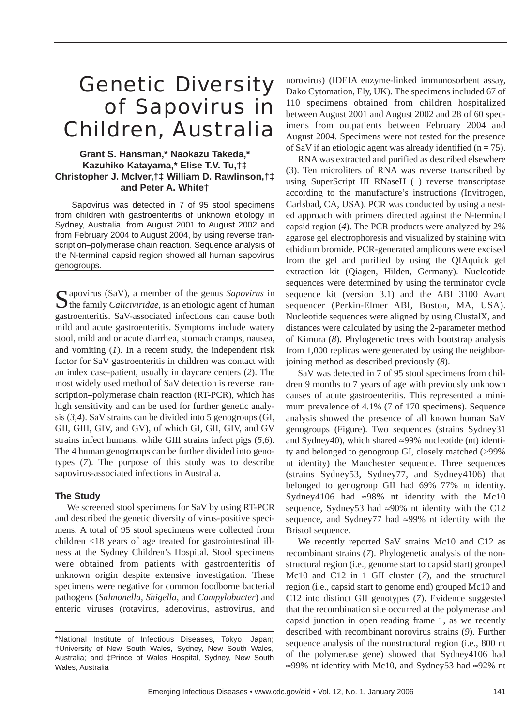# Genetic Diversity of Sapovirus in Children, Australia

## **Grant S. Hansman,\* Naokazu Takeda,\* Kazuhiko Katayama,\* Elise T.V. Tu,†‡ Christopher J. McIver,†‡ William D. Rawlinson,†‡ and Peter A. White†**

Sapovirus was detected in 7 of 95 stool specimens from children with gastroenteritis of unknown etiology in Sydney, Australia, from August 2001 to August 2002 and from February 2004 to August 2004, by using reverse transcription–polymerase chain reaction. Sequence analysis of the N-terminal capsid region showed all human sapovirus genogroups.

Sapovirus (SaV), a member of the genus *Sapovirus* in  $\bigcup$  the family *Caliciviridae*, is an etiologic agent of human gastroenteritis. SaV-associated infections can cause both mild and acute gastroenteritis. Symptoms include watery stool, mild and or acute diarrhea, stomach cramps, nausea, and vomiting (*1*). In a recent study, the independent risk factor for SaV gastroenteritis in children was contact with an index case-patient, usually in daycare centers (*2*). The most widely used method of SaV detection is reverse transcription–polymerase chain reaction (RT-PCR), which has high sensitivity and can be used for further genetic analysis (*3,4*). SaV strains can be divided into 5 genogroups (GI, GII, GIII, GIV, and GV), of which GI, GII, GIV, and GV strains infect humans, while GIII strains infect pigs (*5,6*). The 4 human genogroups can be further divided into genotypes (*7*). The purpose of this study was to describe sapovirus-associated infections in Australia.

#### **The Study**

We screened stool specimens for SaV by using RT-PCR and described the genetic diversity of virus-positive specimens. A total of 95 stool specimens were collected from children <18 years of age treated for gastrointestinal illness at the Sydney Children's Hospital. Stool specimens were obtained from patients with gastroenteritis of unknown origin despite extensive investigation. These specimens were negative for common foodborne bacterial pathogens (*Salmonella*, *Shigella*, and *Campylobacter*) and enteric viruses (rotavirus, adenovirus, astrovirus, and

norovirus) (IDEIA enzyme-linked immunosorbent assay, Dako Cytomation, Ely, UK). The specimens included 67 of 110 specimens obtained from children hospitalized between August 2001 and August 2002 and 28 of 60 specimens from outpatients between February 2004 and August 2004. Specimens were not tested for the presence of SaV if an etiologic agent was already identified ( $n = 75$ ).

RNA was extracted and purified as described elsewhere (3). Ten microliters of RNA was reverse transcribed by using SuperScript III RNaseH (–) reverse transcriptase according to the manufacture's instructions (Invitrogen, Carlsbad, CA, USA). PCR was conducted by using a nested approach with primers directed against the N-terminal capsid region (*4*). The PCR products were analyzed by 2% agarose gel electrophoresis and visualized by staining with ethidium bromide. PCR-generated amplicons were excised from the gel and purified by using the QIAquick gel extraction kit (Qiagen, Hilden, Germany). Nucleotide sequences were determined by using the terminator cycle sequence kit (version 3.1) and the ABI 3100 Avant sequencer (Perkin-Elmer ABI, Boston, MA, USA). Nucleotide sequences were aligned by using ClustalX, and distances were calculated by using the 2-parameter method of Kimura (*8*). Phylogenetic trees with bootstrap analysis from 1,000 replicas were generated by using the neighborjoining method as described previously (*8*).

SaV was detected in 7 of 95 stool specimens from children 9 months to 7 years of age with previously unknown causes of acute gastroenteritis. This represented a minimum prevalence of 4.1% (7 of 170 specimens). Sequence analysis showed the presence of all known human SaV genogroups (Figure). Two sequences (strains Sydney31 and Sydney40), which shared  $\approx$ 99% nucleotide (nt) identity and belonged to genogroup GI, closely matched (>99% nt identity) the Manchester sequence. Three sequences (strains Sydney53, Sydney77, and Sydney4106) that belonged to genogroup GII had 69%–77% nt identity. Sydney4106 had ≈98% nt identity with the Mc10 sequence, Sydney53 had ≈90% nt identity with the C12 sequence, and Sydney77 had ≈99% nt identity with the Bristol sequence.

We recently reported SaV strains Mc10 and C12 as recombinant strains (*7*). Phylogenetic analysis of the nonstructural region (i.e., genome start to capsid start) grouped Mc10 and C12 in 1 GII cluster (*7*), and the structural region (i.e., capsid start to genome end) grouped Mc10 and C12 into distinct GII genotypes (*7*). Evidence suggested that the recombination site occurred at the polymerase and capsid junction in open reading frame 1, as we recently described with recombinant norovirus strains (*9*). Further sequence analysis of the nonstructural region (i.e., 800 nt of the polymerase gene) showed that Sydney4106 had ≈99% nt identity with Mc10, and Sydney53 had ≈92% nt

<sup>\*</sup>National Institute of Infectious Diseases, Tokyo, Japan; †University of New South Wales, Sydney, New South Wales, Australia; and ‡Prince of Wales Hospital, Sydney, New South Wales, Australia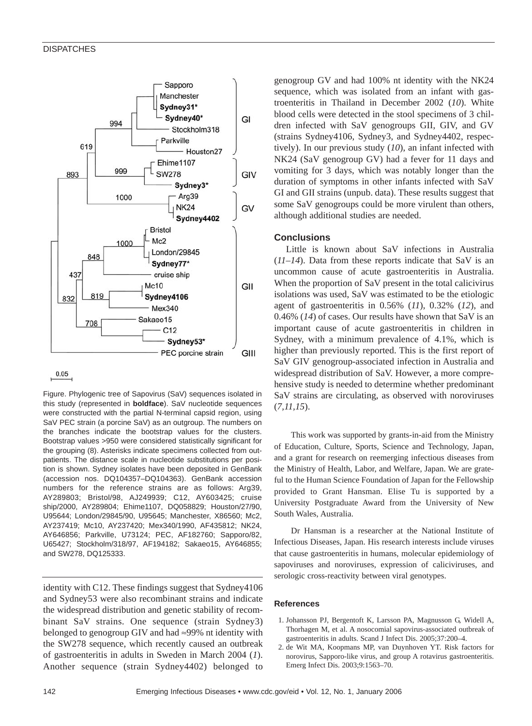#### **DISPATCHES**



 $0.05$ 

Figure. Phylogenic tree of Sapovirus (SaV) sequences isolated in this study (represented in **boldface**). SaV nucleotide sequences were constructed with the partial N-terminal capsid region, using SaV PEC strain (a porcine SaV) as an outgroup. The numbers on the branches indicate the bootstrap values for the clusters. Bootstrap values >950 were considered statistically significant for the grouping (8). Asterisks indicate specimens collected from outpatients. The distance scale in nucleotide substitutions per position is shown. Sydney isolates have been deposited in GenBank (accession nos. DQ104357–DQ104363). GenBank accession numbers for the reference strains are as follows: Arg39, AY289803; Bristol/98, AJ249939; C12, AY603425; cruise ship/2000, AY289804; Ehime1107, DQ058829; Houston/27/90, U95644; London/29845/90, U95645; Manchester, X86560; Mc2, AY237419; Mc10, AY237420; Mex340/1990, AF435812; NK24, AY646856; Parkville, U73124; PEC, AF182760; Sapporo/82, U65427; Stockholm/318/97, AF194182; Sakaeo15, AY646855; and SW278, DQ125333.

identity with C12. These findings suggest that Sydney4106 and Sydney53 were also recombinant strains and indicate the widespread distribution and genetic stability of recombinant SaV strains. One sequence (strain Sydney3) belonged to genogroup GIV and had ≈99% nt identity with the SW278 sequence, which recently caused an outbreak of gastroenteritis in adults in Sweden in March 2004 (*1*). Another sequence (strain Sydney4402) belonged to

genogroup GV and had 100% nt identity with the NK24 sequence, which was isolated from an infant with gastroenteritis in Thailand in December 2002 (*10*). White blood cells were detected in the stool specimens of 3 children infected with SaV genogroups GII, GIV, and GV (strains Sydney4106, Sydney3, and Sydney4402, respectively). In our previous study (*10*), an infant infected with NK24 (SaV genogroup GV) had a fever for 11 days and vomiting for 3 days, which was notably longer than the duration of symptoms in other infants infected with SaV GI and GII strains (unpub. data). These results suggest that some SaV genogroups could be more virulent than others, although additional studies are needed.

### **Conclusions**

Little is known about SaV infections in Australia (*11–14*). Data from these reports indicate that SaV is an uncommon cause of acute gastroenteritis in Australia. When the proportion of SaV present in the total calicivirus isolations was used, SaV was estimated to be the etiologic agent of gastroenteritis in 0.56% (*11*), 0.32% (*12*), and 0.46% (*14*) of cases. Our results have shown that SaV is an important cause of acute gastroenteritis in children in Sydney, with a minimum prevalence of 4.1%, which is higher than previously reported. This is the first report of SaV GIV genogroup-associated infection in Australia and widespread distribution of SaV. However, a more comprehensive study is needed to determine whether predominant SaV strains are circulating, as observed with noroviruses (*7,11,15*).

This work was supported by grants-in-aid from the Ministry of Education, Culture, Sports, Science and Technology, Japan, and a grant for research on reemerging infectious diseases from the Ministry of Health, Labor, and Welfare, Japan. We are grateful to the Human Science Foundation of Japan for the Fellowship provided to Grant Hansman. Elise Tu is supported by a University Postgraduate Award from the University of New South Wales, Australia.

Dr Hansman is a researcher at the National Institute of Infectious Diseases, Japan. His research interests include viruses that cause gastroenteritis in humans, molecular epidemiology of sapoviruses and noroviruses, expression of caliciviruses, and serologic cross-reactivity between viral genotypes.

#### **References**

- 1. Johansson PJ, Bergentoft K, Larsson PA, Magnusson G, Widell A, Thorhagen M, et al. A nosocomial sapovirus-associated outbreak of gastroenteritis in adults. Scand J Infect Dis. 2005;37:200–4.
- 2. de Wit MA, Koopmans MP, van Duynhoven YT. Risk factors for norovirus, Sapporo-like virus, and group A rotavirus gastroenteritis. Emerg Infect Dis. 2003;9:1563–70.